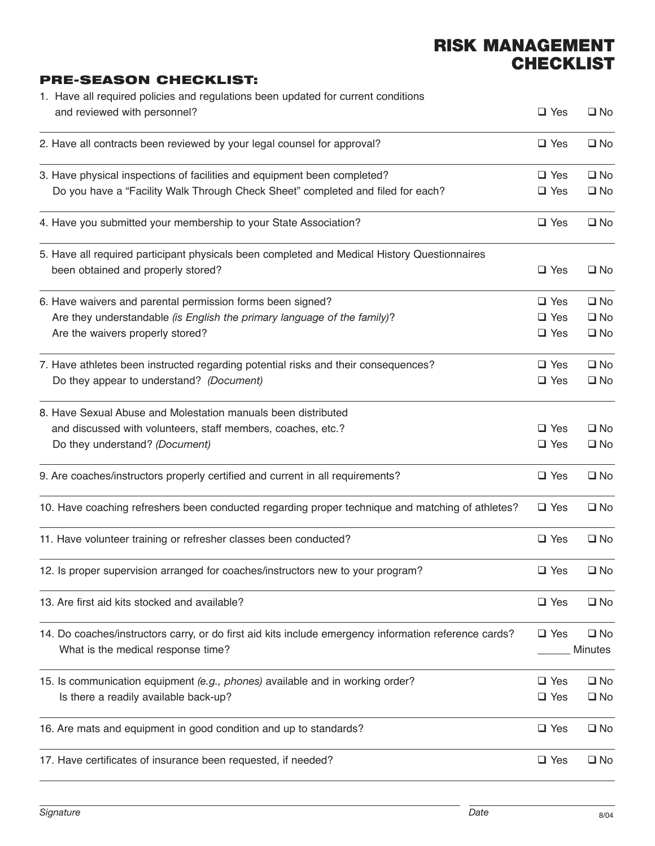## **RISK MANAGEMENT CHECKLIST**

## **PRE-SEASON CHECKLIST:**

|  | 1. Have all required policies and regulations been updated for current conditions<br>and reviewed with personnel? | $\square$ Yes | $\square$ No   |
|--|-------------------------------------------------------------------------------------------------------------------|---------------|----------------|
|  | 2. Have all contracts been reviewed by your legal counsel for approval?                                           | $\square$ Yes | $\square$ No   |
|  | 3. Have physical inspections of facilities and equipment been completed?                                          | $\square$ Yes | $\square$ No   |
|  | Do you have a "Facility Walk Through Check Sheet" completed and filed for each?                                   | $\square$ Yes | $\square$ No   |
|  | 4. Have you submitted your membership to your State Association?                                                  | $\Box$ Yes    | $\square$ No   |
|  | 5. Have all required participant physicals been completed and Medical History Questionnaires                      |               |                |
|  | been obtained and properly stored?                                                                                | $\square$ Yes | $\square$ No   |
|  | 6. Have waivers and parental permission forms been signed?                                                        | $\Box$ Yes    | $\square$ No   |
|  | Are they understandable (is English the primary language of the family)?                                          | $\square$ Yes | $\square$ No   |
|  | Are the waivers properly stored?                                                                                  | $\Box$ Yes    | $\square$ No   |
|  | 7. Have athletes been instructed regarding potential risks and their consequences?                                | $\Box$ Yes    | $\square$ No   |
|  | Do they appear to understand? (Document)                                                                          | $\square$ Yes | $\square$ No   |
|  | 8. Have Sexual Abuse and Molestation manuals been distributed                                                     |               |                |
|  | and discussed with volunteers, staff members, coaches, etc.?                                                      | $\square$ Yes | $\square$ No   |
|  | Do they understand? (Document)                                                                                    | $\square$ Yes | $\square$ No   |
|  | 9. Are coaches/instructors properly certified and current in all requirements?                                    | $\Box$ Yes    | $\square$ No   |
|  | 10. Have coaching refreshers been conducted regarding proper technique and matching of athletes?                  | $\Box$ Yes    | $\square$ No   |
|  | 11. Have volunteer training or refresher classes been conducted?                                                  | $\Box$ Yes    | $\square$ No   |
|  | 12. Is proper supervision arranged for coaches/instructors new to your program?                                   | $\square$ Yes | $\square$ No   |
|  | 13. Are first aid kits stocked and available?                                                                     | $\square$ Yes | $\square$ No   |
|  | 14. Do coaches/instructors carry, or do first aid kits include emergency information reference cards?             | $\square$ Yes | $\square$ No   |
|  | What is the medical response time?                                                                                |               | <b>Minutes</b> |
|  | 15. Is communication equipment (e.g., phones) available and in working order?                                     | $\square$ Yes | $\square$ No   |
|  | Is there a readily available back-up?                                                                             | $\square$ Yes | $\square$ No   |
|  | 16. Are mats and equipment in good condition and up to standards?                                                 | $\square$ Yes | $\square$ No   |
|  | 17. Have certificates of insurance been requested, if needed?                                                     | $\square$ Yes | $\square$ No   |